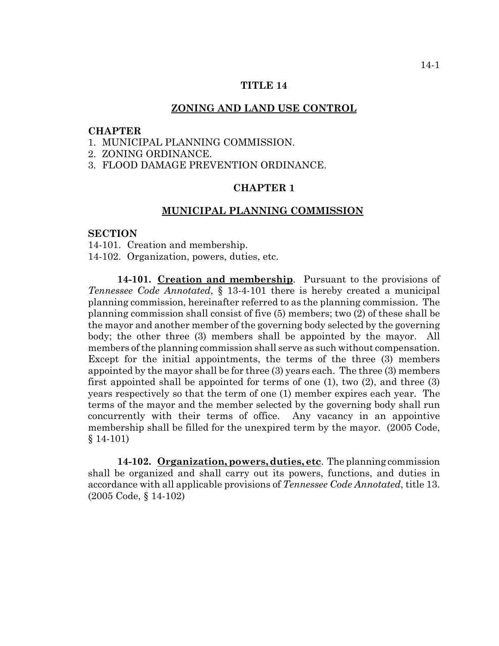## **TITLE 14**

## **ZONING AND LAND USE CONTROL**

## **CHAPTER**

- 1. MUNICIPAL PLANNING COMMISSION.
- 2. ZONING ORDINANCE.
- 3. FLOOD DAMAGE PREVENTION ORDINANCE.

## **CHAPTER 1**

## **MUNICIPAL PLANNING COMMISSION**

#### **SECTION**

14-101. Creation and membership.

14-102. Organization, powers, duties, etc.

**14-101. Creation and membership**. Pursuant to the provisions of *Tennessee Code Annotated*, § 13-4-101 there is hereby created a municipal planning commission, hereinafter referred to as the planning commission. The planning commission shall consist of five (5) members; two (2) of these shall be the mayor and another member of the governing body selected by the governing body; the other three (3) members shall be appointed by the mayor. All members of the planning commission shall serve as such without compensation. Except for the initial appointments, the terms of the three (3) members appointed by the mayor shall be for three (3) years each. The three (3) members first appointed shall be appointed for terms of one (1), two (2), and three (3) years respectively so that the term of one (1) member expires each year. The terms of the mayor and the member selected by the governing body shall run concurrently with their terms of office. Any vacancy in an appointive membership shall be filled for the unexpired term by the mayor. (2005 Code, § 14-101)

**14-102. Organization, powers, duties, etc**. The planning commission shall be organized and shall carry out its powers, functions, and duties in accordance with all applicable provisions of *Tennessee Code Annotated*, title 13. (2005 Code, § 14-102)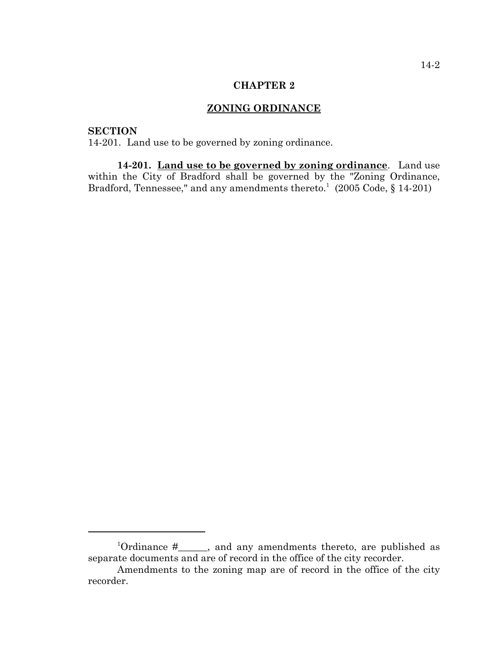## **CHAPTER 2**

# **ZONING ORDINANCE**

# **SECTION**

14-201. Land use to be governed by zoning ordinance.

**14-201. Land use to be governed by zoning ordinance**. Land use within the City of Bradford shall be governed by the "Zoning Ordinance, Bradford, Tennessee," and any amendments thereto.<sup>1</sup> (2005 Code, § 14-201)

<sup>&</sup>lt;sup>1</sup>Ordinance #\_\_\_\_\_, and any amendments thereto, are published as separate documents and are of record in the office of the city recorder.

Amendments to the zoning map are of record in the office of the city recorder.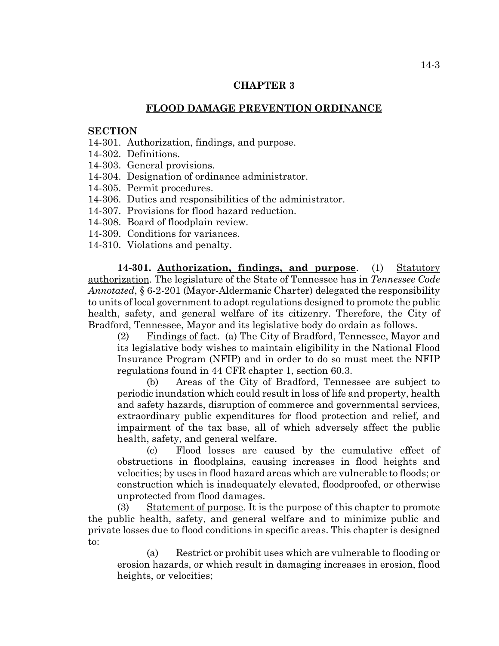## **CHAPTER 3**

# **FLOOD DAMAGE PREVENTION ORDINANCE**

#### **SECTION**

- 14-301. Authorization, findings, and purpose.
- 14-302. Definitions.
- 14-303. General provisions.
- 14-304. Designation of ordinance administrator.
- 14-305. Permit procedures.
- 14-306. Duties and responsibilities of the administrator.
- 14-307. Provisions for flood hazard reduction.
- 14-308. Board of floodplain review.
- 14-309. Conditions for variances.
- 14-310. Violations and penalty.

**14-301. Authorization, findings, and purpose**. (1) Statutory authorization. The legislature of the State of Tennessee has in *Tennessee Code Annotated*, § 6-2-201 (Mayor-Aldermanic Charter) delegated the responsibility to units of local government to adopt regulations designed to promote the public health, safety, and general welfare of its citizenry. Therefore, the City of Bradford, Tennessee, Mayor and its legislative body do ordain as follows.

(2) Findings of fact. (a) The City of Bradford, Tennessee, Mayor and its legislative body wishes to maintain eligibility in the National Flood Insurance Program (NFIP) and in order to do so must meet the NFIP regulations found in 44 CFR chapter 1, section 60.3.

(b) Areas of the City of Bradford, Tennessee are subject to periodic inundation which could result in loss of life and property, health and safety hazards, disruption of commerce and governmental services, extraordinary public expenditures for flood protection and relief, and impairment of the tax base, all of which adversely affect the public health, safety, and general welfare.

(c) Flood losses are caused by the cumulative effect of obstructions in floodplains, causing increases in flood heights and velocities; by uses in flood hazard areas which are vulnerable to floods; or construction which is inadequately elevated, floodproofed, or otherwise unprotected from flood damages.

(3) Statement of purpose. It is the purpose of this chapter to promote the public health, safety, and general welfare and to minimize public and private losses due to flood conditions in specific areas. This chapter is designed to:

(a) Restrict or prohibit uses which are vulnerable to flooding or erosion hazards, or which result in damaging increases in erosion, flood heights, or velocities;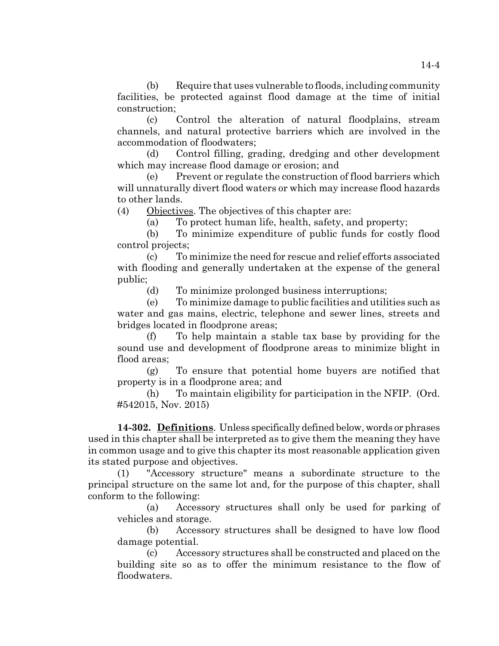(b) Require that uses vulnerable to floods, including community facilities, be protected against flood damage at the time of initial construction;

(c) Control the alteration of natural floodplains, stream channels, and natural protective barriers which are involved in the accommodation of floodwaters;

(d) Control filling, grading, dredging and other development which may increase flood damage or erosion; and

(e) Prevent or regulate the construction of flood barriers which will unnaturally divert flood waters or which may increase flood hazards to other lands.

(4) Objectives. The objectives of this chapter are:

(a) To protect human life, health, safety, and property;

(b) To minimize expenditure of public funds for costly flood control projects;

(c) To minimize the need for rescue and relief efforts associated with flooding and generally undertaken at the expense of the general public;

(d) To minimize prolonged business interruptions;

(e) To minimize damage to public facilities and utilities such as water and gas mains, electric, telephone and sewer lines, streets and bridges located in floodprone areas;

(f) To help maintain a stable tax base by providing for the sound use and development of floodprone areas to minimize blight in flood areas:

(g) To ensure that potential home buyers are notified that property is in a floodprone area; and

(h) To maintain eligibility for participation in the NFIP. (Ord. #542015, Nov. 2015)

**14-302. Definitions**. Unless specifically defined below, words or phrases used in this chapter shall be interpreted as to give them the meaning they have in common usage and to give this chapter its most reasonable application given its stated purpose and objectives.

(1) "Accessory structure" means a subordinate structure to the principal structure on the same lot and, for the purpose of this chapter, shall conform to the following:

(a) Accessory structures shall only be used for parking of vehicles and storage.

(b) Accessory structures shall be designed to have low flood damage potential.

(c) Accessory structures shall be constructed and placed on the building site so as to offer the minimum resistance to the flow of floodwaters.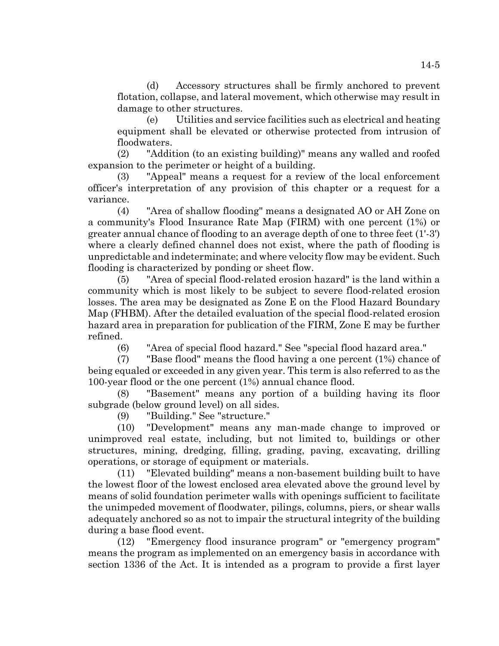(d) Accessory structures shall be firmly anchored to prevent flotation, collapse, and lateral movement, which otherwise may result in damage to other structures.

(e) Utilities and service facilities such as electrical and heating equipment shall be elevated or otherwise protected from intrusion of floodwaters.

(2) "Addition (to an existing building)" means any walled and roofed expansion to the perimeter or height of a building.

(3) "Appeal" means a request for a review of the local enforcement officer's interpretation of any provision of this chapter or a request for a variance.

(4) "Area of shallow flooding" means a designated AO or AH Zone on a community's Flood Insurance Rate Map (FIRM) with one percent (1%) or greater annual chance of flooding to an average depth of one to three feet (1'-3') where a clearly defined channel does not exist, where the path of flooding is unpredictable and indeterminate; and where velocity flow may be evident. Such flooding is characterized by ponding or sheet flow.

(5) "Area of special flood-related erosion hazard" is the land within a community which is most likely to be subject to severe flood-related erosion losses. The area may be designated as Zone E on the Flood Hazard Boundary Map (FHBM). After the detailed evaluation of the special flood-related erosion hazard area in preparation for publication of the FIRM, Zone E may be further refined.

(6) "Area of special flood hazard." See "special flood hazard area."

(7) "Base flood" means the flood having a one percent (1%) chance of being equaled or exceeded in any given year. This term is also referred to as the 100-year flood or the one percent (1%) annual chance flood.

(8) "Basement" means any portion of a building having its floor subgrade (below ground level) on all sides.

(9) "Building." See "structure."

(10) "Development" means any man-made change to improved or unimproved real estate, including, but not limited to, buildings or other structures, mining, dredging, filling, grading, paving, excavating, drilling operations, or storage of equipment or materials.

(11) "Elevated building" means a non-basement building built to have the lowest floor of the lowest enclosed area elevated above the ground level by means of solid foundation perimeter walls with openings sufficient to facilitate the unimpeded movement of floodwater, pilings, columns, piers, or shear walls adequately anchored so as not to impair the structural integrity of the building during a base flood event.

(12) "Emergency flood insurance program" or "emergency program" means the program as implemented on an emergency basis in accordance with section 1336 of the Act. It is intended as a program to provide a first layer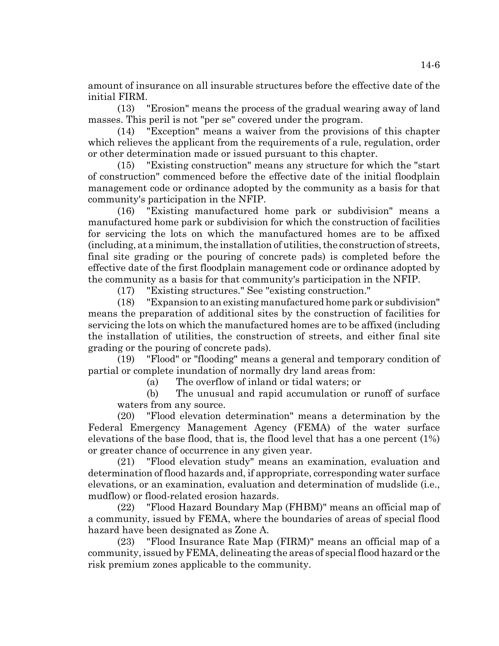amount of insurance on all insurable structures before the effective date of the initial FIRM.

(13) "Erosion" means the process of the gradual wearing away of land masses. This peril is not "per se" covered under the program.

(14) "Exception" means a waiver from the provisions of this chapter which relieves the applicant from the requirements of a rule, regulation, order or other determination made or issued pursuant to this chapter.

(15) "Existing construction" means any structure for which the "start of construction" commenced before the effective date of the initial floodplain management code or ordinance adopted by the community as a basis for that community's participation in the NFIP.

(16) "Existing manufactured home park or subdivision" means a manufactured home park or subdivision for which the construction of facilities for servicing the lots on which the manufactured homes are to be affixed (including, at a minimum, the installation of utilities, the construction of streets, final site grading or the pouring of concrete pads) is completed before the effective date of the first floodplain management code or ordinance adopted by the community as a basis for that community's participation in the NFIP.

(17) "Existing structures." See "existing construction."

(18) "Expansion to an existing manufactured home park or subdivision" means the preparation of additional sites by the construction of facilities for servicing the lots on which the manufactured homes are to be affixed (including the installation of utilities, the construction of streets, and either final site grading or the pouring of concrete pads).

(19) "Flood" or "flooding" means a general and temporary condition of partial or complete inundation of normally dry land areas from:

(a) The overflow of inland or tidal waters; or

(b) The unusual and rapid accumulation or runoff of surface waters from any source.

(20) "Flood elevation determination" means a determination by the Federal Emergency Management Agency (FEMA) of the water surface elevations of the base flood, that is, the flood level that has a one percent (1%) or greater chance of occurrence in any given year.

(21) "Flood elevation study" means an examination, evaluation and determination of flood hazards and, if appropriate, corresponding water surface elevations, or an examination, evaluation and determination of mudslide (i.e., mudflow) or flood-related erosion hazards.

(22) "Flood Hazard Boundary Map (FHBM)" means an official map of a community, issued by FEMA, where the boundaries of areas of special flood hazard have been designated as Zone A.

(23) "Flood Insurance Rate Map (FIRM)" means an official map of a community, issued by FEMA, delineating the areas of special flood hazard or the risk premium zones applicable to the community.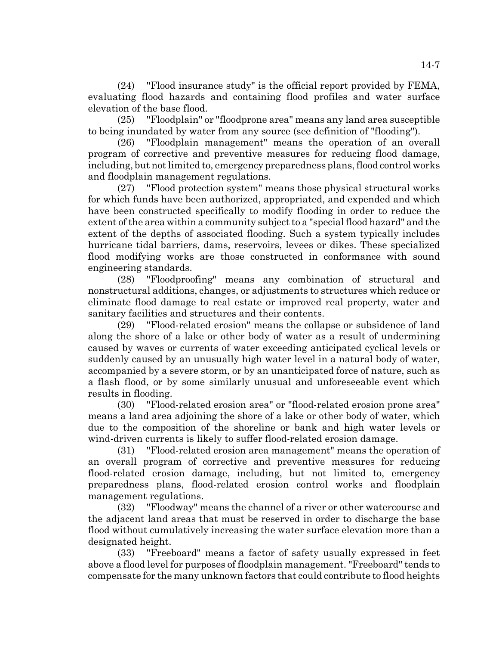(24) "Flood insurance study" is the official report provided by FEMA, evaluating flood hazards and containing flood profiles and water surface elevation of the base flood.

(25) "Floodplain" or "floodprone area" means any land area susceptible to being inundated by water from any source (see definition of "flooding").

(26) "Floodplain management" means the operation of an overall program of corrective and preventive measures for reducing flood damage, including, but not limited to, emergency preparedness plans, flood control works and floodplain management regulations.

(27) "Flood protection system" means those physical structural works for which funds have been authorized, appropriated, and expended and which have been constructed specifically to modify flooding in order to reduce the extent of the area within a community subject to a "special flood hazard" and the extent of the depths of associated flooding. Such a system typically includes hurricane tidal barriers, dams, reservoirs, levees or dikes. These specialized flood modifying works are those constructed in conformance with sound engineering standards.

(28) "Floodproofing" means any combination of structural and nonstructural additions, changes, or adjustments to structures which reduce or eliminate flood damage to real estate or improved real property, water and sanitary facilities and structures and their contents.

(29) "Flood-related erosion" means the collapse or subsidence of land along the shore of a lake or other body of water as a result of undermining caused by waves or currents of water exceeding anticipated cyclical levels or suddenly caused by an unusually high water level in a natural body of water, accompanied by a severe storm, or by an unanticipated force of nature, such as a flash flood, or by some similarly unusual and unforeseeable event which results in flooding.

(30) "Flood-related erosion area" or "flood-related erosion prone area" means a land area adjoining the shore of a lake or other body of water, which due to the composition of the shoreline or bank and high water levels or wind-driven currents is likely to suffer flood-related erosion damage.

(31) "Flood-related erosion area management" means the operation of an overall program of corrective and preventive measures for reducing flood-related erosion damage, including, but not limited to, emergency preparedness plans, flood-related erosion control works and floodplain management regulations.

(32) "Floodway" means the channel of a river or other watercourse and the adjacent land areas that must be reserved in order to discharge the base flood without cumulatively increasing the water surface elevation more than a designated height.

(33) "Freeboard" means a factor of safety usually expressed in feet above a flood level for purposes of floodplain management. "Freeboard" tends to compensate for the many unknown factors that could contribute to flood heights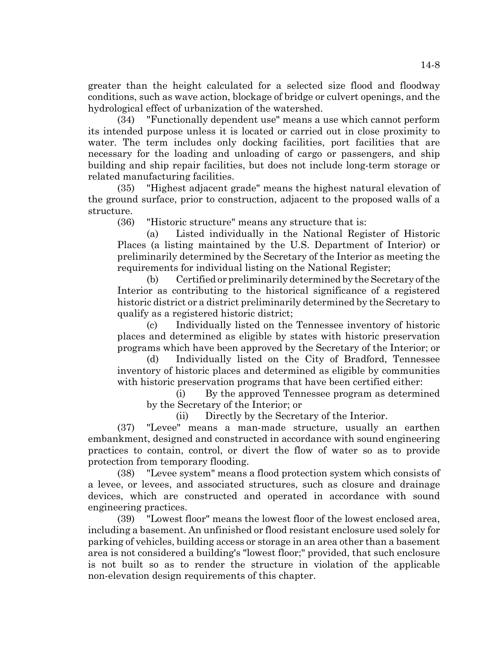greater than the height calculated for a selected size flood and floodway conditions, such as wave action, blockage of bridge or culvert openings, and the hydrological effect of urbanization of the watershed.

(34) "Functionally dependent use" means a use which cannot perform its intended purpose unless it is located or carried out in close proximity to water. The term includes only docking facilities, port facilities that are necessary for the loading and unloading of cargo or passengers, and ship building and ship repair facilities, but does not include long-term storage or related manufacturing facilities.

(35) "Highest adjacent grade" means the highest natural elevation of the ground surface, prior to construction, adjacent to the proposed walls of a structure.

(36) "Historic structure" means any structure that is:

(a) Listed individually in the National Register of Historic Places (a listing maintained by the U.S. Department of Interior) or preliminarily determined by the Secretary of the Interior as meeting the requirements for individual listing on the National Register;

(b) Certified or preliminarily determined by the Secretary of the Interior as contributing to the historical significance of a registered historic district or a district preliminarily determined by the Secretary to qualify as a registered historic district;

(c) Individually listed on the Tennessee inventory of historic places and determined as eligible by states with historic preservation programs which have been approved by the Secretary of the Interior; or

(d) Individually listed on the City of Bradford, Tennessee inventory of historic places and determined as eligible by communities with historic preservation programs that have been certified either:

(i) By the approved Tennessee program as determined by the Secretary of the Interior; or

(ii) Directly by the Secretary of the Interior.

(37) "Levee" means a man-made structure, usually an earthen embankment, designed and constructed in accordance with sound engineering practices to contain, control, or divert the flow of water so as to provide protection from temporary flooding.

(38) "Levee system" means a flood protection system which consists of a levee, or levees, and associated structures, such as closure and drainage devices, which are constructed and operated in accordance with sound engineering practices.

(39) "Lowest floor" means the lowest floor of the lowest enclosed area, including a basement. An unfinished or flood resistant enclosure used solely for parking of vehicles, building access or storage in an area other than a basement area is not considered a building's "lowest floor;" provided, that such enclosure is not built so as to render the structure in violation of the applicable non-elevation design requirements of this chapter.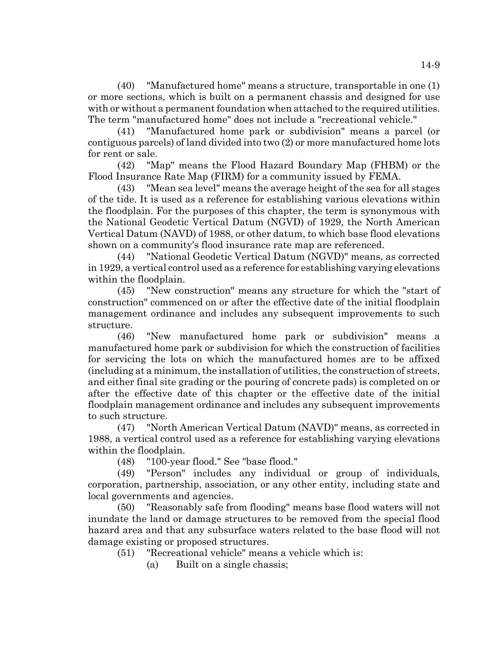(40) "Manufactured home" means a structure, transportable in one (1) or more sections, which is built on a permanent chassis and designed for use with or without a permanent foundation when attached to the required utilities. The term "manufactured home" does not include a "recreational vehicle."

(41) "Manufactured home park or subdivision" means a parcel (or contiguous parcels) of land divided into two (2) or more manufactured home lots for rent or sale.

(42) "Map" means the Flood Hazard Boundary Map (FHBM) or the Flood Insurance Rate Map (FIRM) for a community issued by FEMA.

(43) "Mean sea level" means the average height of the sea for all stages of the tide. It is used as a reference for establishing various elevations within the floodplain. For the purposes of this chapter, the term is synonymous with the National Geodetic Vertical Datum (NGVD) of 1929, the North American Vertical Datum (NAVD) of 1988, or other datum, to which base flood elevations shown on a community's flood insurance rate map are referenced.

(44) "National Geodetic Vertical Datum (NGVD)" means, as corrected in 1929, a vertical control used as a reference for establishing varying elevations within the floodplain.

(45) "New construction" means any structure for which the "start of construction" commenced on or after the effective date of the initial floodplain management ordinance and includes any subsequent improvements to such structure.

(46) "New manufactured home park or subdivision" means a manufactured home park or subdivision for which the construction of facilities for servicing the lots on which the manufactured homes are to be affixed (including at a minimum, the installation of utilities, the construction of streets, and either final site grading or the pouring of concrete pads) is completed on or after the effective date of this chapter or the effective date of the initial floodplain management ordinance and includes any subsequent improvements to such structure.

(47) "North American Vertical Datum (NAVD)" means, as corrected in 1988, a vertical control used as a reference for establishing varying elevations within the floodplain.

(48) "100-year flood." See "base flood."

(49) "Person" includes any individual or group of individuals, corporation, partnership, association, or any other entity, including state and local governments and agencies.

(50) "Reasonably safe from flooding" means base flood waters will not inundate the land or damage structures to be removed from the special flood hazard area and that any subsurface waters related to the base flood will not damage existing or proposed structures.

(51) "Recreational vehicle" means a vehicle which is:

(a) Built on a single chassis;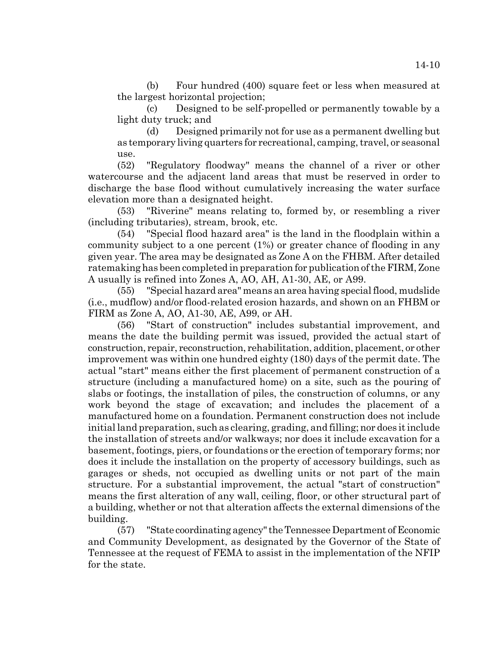(b) Four hundred (400) square feet or less when measured at the largest horizontal projection;

(c) Designed to be self-propelled or permanently towable by a light duty truck; and

(d) Designed primarily not for use as a permanent dwelling but as temporary living quarters for recreational, camping, travel, or seasonal use.

(52) "Regulatory floodway" means the channel of a river or other watercourse and the adjacent land areas that must be reserved in order to discharge the base flood without cumulatively increasing the water surface elevation more than a designated height.

(53) "Riverine" means relating to, formed by, or resembling a river (including tributaries), stream, brook, etc.

(54) "Special flood hazard area" is the land in the floodplain within a community subject to a one percent (1%) or greater chance of flooding in any given year. The area may be designated as Zone A on the FHBM. After detailed ratemaking has been completed in preparation for publication of the FIRM, Zone A usually is refined into Zones A, AO, AH, A1-30, AE, or A99.

(55) "Special hazard area" means an area having special flood, mudslide (i.e., mudflow) and/or flood-related erosion hazards, and shown on an FHBM or FIRM as Zone A, AO, A1-30, AE, A99, or AH.

(56) "Start of construction" includes substantial improvement, and means the date the building permit was issued, provided the actual start of construction, repair, reconstruction, rehabilitation, addition, placement, or other improvement was within one hundred eighty (180) days of the permit date. The actual "start" means either the first placement of permanent construction of a structure (including a manufactured home) on a site, such as the pouring of slabs or footings, the installation of piles, the construction of columns, or any work beyond the stage of excavation; and includes the placement of a manufactured home on a foundation. Permanent construction does not include initial land preparation, such as clearing, grading, and filling; nor does it include the installation of streets and/or walkways; nor does it include excavation for a basement, footings, piers, or foundations or the erection of temporary forms; nor does it include the installation on the property of accessory buildings, such as garages or sheds, not occupied as dwelling units or not part of the main structure. For a substantial improvement, the actual "start of construction" means the first alteration of any wall, ceiling, floor, or other structural part of a building, whether or not that alteration affects the external dimensions of the building.

(57) "State coordinating agency" the Tennessee Department of Economic and Community Development, as designated by the Governor of the State of Tennessee at the request of FEMA to assist in the implementation of the NFIP for the state.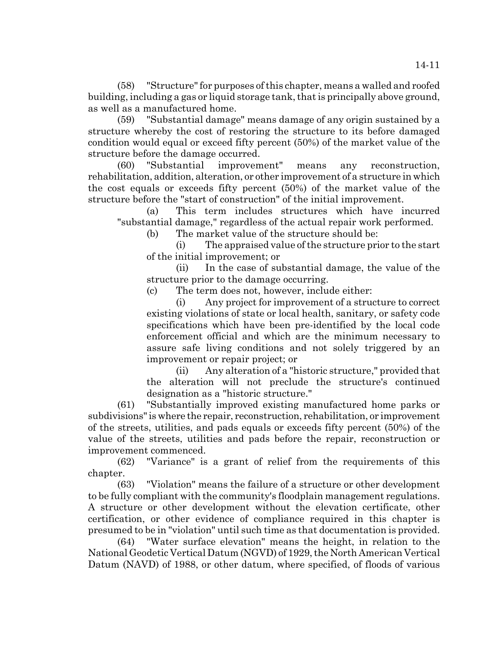(58) "Structure" for purposes of this chapter, means a walled and roofed building, including a gas or liquid storage tank, that is principally above ground, as well as a manufactured home.

(59) "Substantial damage" means damage of any origin sustained by a structure whereby the cost of restoring the structure to its before damaged condition would equal or exceed fifty percent (50%) of the market value of the structure before the damage occurred.

(60) "Substantial improvement" means any reconstruction, rehabilitation, addition, alteration, or other improvement of a structure in which the cost equals or exceeds fifty percent (50%) of the market value of the structure before the "start of construction" of the initial improvement.

(a) This term includes structures which have incurred "substantial damage," regardless of the actual repair work performed.

(b) The market value of the structure should be:

(i) The appraised value of the structure prior to the start of the initial improvement; or

(ii) In the case of substantial damage, the value of the structure prior to the damage occurring.

(c) The term does not, however, include either:

(i) Any project for improvement of a structure to correct existing violations of state or local health, sanitary, or safety code specifications which have been pre-identified by the local code enforcement official and which are the minimum necessary to assure safe living conditions and not solely triggered by an improvement or repair project; or

(ii) Any alteration of a "historic structure," provided that the alteration will not preclude the structure's continued designation as a "historic structure."

(61) "Substantially improved existing manufactured home parks or subdivisions" is where the repair, reconstruction, rehabilitation, or improvement of the streets, utilities, and pads equals or exceeds fifty percent (50%) of the value of the streets, utilities and pads before the repair, reconstruction or improvement commenced.

(62) "Variance" is a grant of relief from the requirements of this chapter.

(63) "Violation" means the failure of a structure or other development to be fully compliant with the community's floodplain management regulations. A structure or other development without the elevation certificate, other certification, or other evidence of compliance required in this chapter is presumed to be in "violation" until such time as that documentation is provided.

(64) "Water surface elevation" means the height, in relation to the National Geodetic Vertical Datum (NGVD) of 1929, the North American Vertical Datum (NAVD) of 1988, or other datum, where specified, of floods of various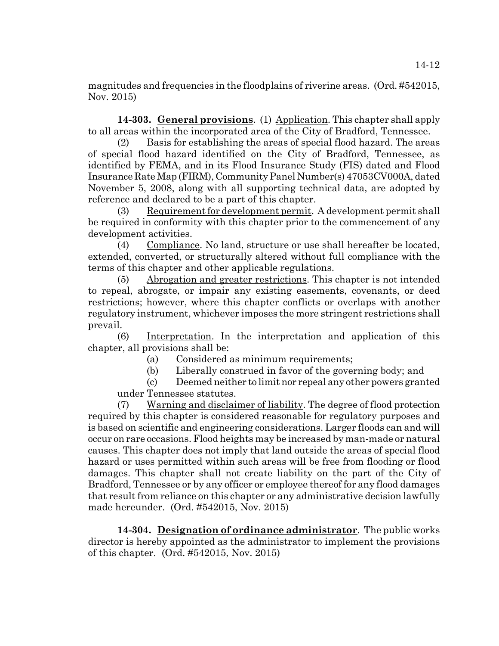magnitudes and frequencies in the floodplains of riverine areas. (Ord. #542015, Nov. 2015)

**14-303. General provisions**. (1) Application. This chapter shall apply to all areas within the incorporated area of the City of Bradford, Tennessee.

(2) Basis for establishing the areas of special flood hazard. The areas of special flood hazard identified on the City of Bradford, Tennessee, as identified by FEMA, and in its Flood Insurance Study (FIS) dated and Flood Insurance Rate Map (FIRM), Community Panel Number(s) 47053CV000A, dated November 5, 2008, along with all supporting technical data, are adopted by reference and declared to be a part of this chapter.

(3) Requirement for development permit. A development permit shall be required in conformity with this chapter prior to the commencement of any development activities.

(4) Compliance. No land, structure or use shall hereafter be located, extended, converted, or structurally altered without full compliance with the terms of this chapter and other applicable regulations.

(5) Abrogation and greater restrictions. This chapter is not intended to repeal, abrogate, or impair any existing easements, covenants, or deed restrictions; however, where this chapter conflicts or overlaps with another regulatory instrument, whichever imposes the more stringent restrictions shall prevail.

(6) Interpretation. In the interpretation and application of this chapter, all provisions shall be:

(a) Considered as minimum requirements;

(b) Liberally construed in favor of the governing body; and

(c) Deemed neither to limit nor repeal any other powers granted under Tennessee statutes.

(7) Warning and disclaimer of liability. The degree of flood protection required by this chapter is considered reasonable for regulatory purposes and is based on scientific and engineering considerations. Larger floods can and will occur on rare occasions. Flood heights may be increased by man-made or natural causes. This chapter does not imply that land outside the areas of special flood hazard or uses permitted within such areas will be free from flooding or flood damages. This chapter shall not create liability on the part of the City of Bradford, Tennessee or by any officer or employee thereof for any flood damages that result from reliance on this chapter or any administrative decision lawfully made hereunder. (Ord. #542015, Nov. 2015)

**14-304. Designation of ordinance administrator**. The public works director is hereby appointed as the administrator to implement the provisions of this chapter. (Ord. #542015, Nov. 2015)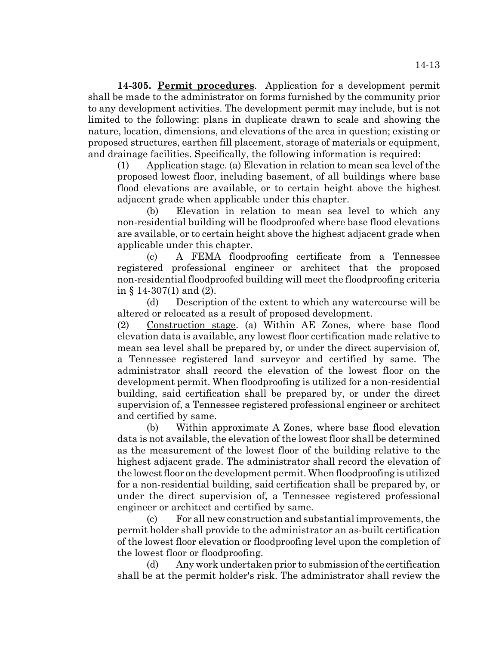**14-305. Permit procedures**. Application for a development permit shall be made to the administrator on forms furnished by the community prior to any development activities. The development permit may include, but is not limited to the following: plans in duplicate drawn to scale and showing the nature, location, dimensions, and elevations of the area in question; existing or proposed structures, earthen fill placement, storage of materials or equipment, and drainage facilities. Specifically, the following information is required:

(1) Application stage. (a) Elevation in relation to mean sea level of the proposed lowest floor, including basement, of all buildings where base flood elevations are available, or to certain height above the highest adjacent grade when applicable under this chapter.

(b) Elevation in relation to mean sea level to which any non-residential building will be floodproofed where base flood elevations are available, or to certain height above the highest adjacent grade when applicable under this chapter.

(c) A FEMA floodproofing certificate from a Tennessee registered professional engineer or architect that the proposed non-residential floodproofed building will meet the floodproofing criteria in § 14-307(1) and (2).

(d) Description of the extent to which any watercourse will be altered or relocated as a result of proposed development.

(2) Construction stage. (a) Within AE Zones, where base flood elevation data is available, any lowest floor certification made relative to mean sea level shall be prepared by, or under the direct supervision of, a Tennessee registered land surveyor and certified by same. The administrator shall record the elevation of the lowest floor on the development permit. When floodproofing is utilized for a non-residential building, said certification shall be prepared by, or under the direct supervision of, a Tennessee registered professional engineer or architect and certified by same.

(b) Within approximate A Zones, where base flood elevation data is not available, the elevation of the lowest floor shall be determined as the measurement of the lowest floor of the building relative to the highest adjacent grade. The administrator shall record the elevation of the lowest floor on the development permit. When floodproofing is utilized for a non-residential building, said certification shall be prepared by, or under the direct supervision of, a Tennessee registered professional engineer or architect and certified by same.

(c) For all new construction and substantial improvements, the permit holder shall provide to the administrator an as-built certification of the lowest floor elevation or floodproofing level upon the completion of the lowest floor or floodproofing.

(d) Any work undertaken prior to submission of the certification shall be at the permit holder's risk. The administrator shall review the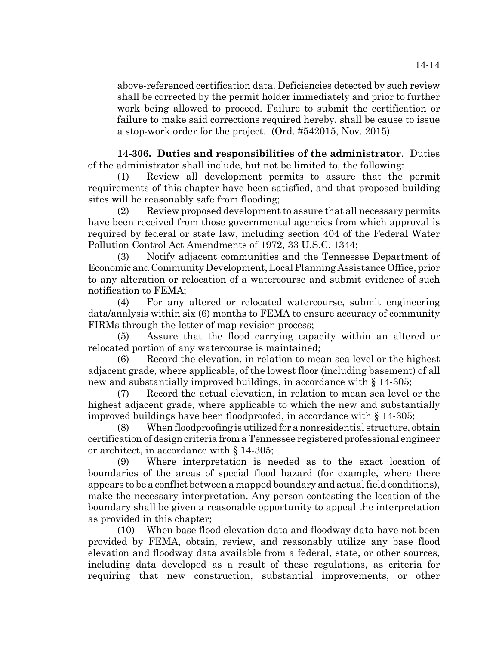above-referenced certification data. Deficiencies detected by such review shall be corrected by the permit holder immediately and prior to further work being allowed to proceed. Failure to submit the certification or failure to make said corrections required hereby, shall be cause to issue a stop-work order for the project. (Ord. #542015, Nov. 2015)

**14-306. Duties and responsibilities of the administrator**. Duties of the administrator shall include, but not be limited to, the following:

(1) Review all development permits to assure that the permit requirements of this chapter have been satisfied, and that proposed building sites will be reasonably safe from flooding;

(2) Review proposed development to assure that all necessary permits have been received from those governmental agencies from which approval is required by federal or state law, including section 404 of the Federal Water Pollution Control Act Amendments of 1972, 33 U.S.C. 1344;

(3) Notify adjacent communities and the Tennessee Department of Economic and Community Development, Local Planning Assistance Office, prior to any alteration or relocation of a watercourse and submit evidence of such notification to FEMA;

(4) For any altered or relocated watercourse, submit engineering data/analysis within six (6) months to FEMA to ensure accuracy of community FIRMs through the letter of map revision process;

(5) Assure that the flood carrying capacity within an altered or relocated portion of any watercourse is maintained;

(6) Record the elevation, in relation to mean sea level or the highest adjacent grade, where applicable, of the lowest floor (including basement) of all new and substantially improved buildings, in accordance with § 14-305;

(7) Record the actual elevation, in relation to mean sea level or the highest adjacent grade, where applicable to which the new and substantially improved buildings have been floodproofed, in accordance with § 14-305;

(8) When floodproofing is utilized for a nonresidential structure, obtain certification of design criteria from a Tennessee registered professional engineer or architect, in accordance with § 14-305;

(9) Where interpretation is needed as to the exact location of boundaries of the areas of special flood hazard (for example, where there appears to be a conflict between a mapped boundary and actual field conditions), make the necessary interpretation. Any person contesting the location of the boundary shall be given a reasonable opportunity to appeal the interpretation as provided in this chapter;

(10) When base flood elevation data and floodway data have not been provided by FEMA, obtain, review, and reasonably utilize any base flood elevation and floodway data available from a federal, state, or other sources, including data developed as a result of these regulations, as criteria for requiring that new construction, substantial improvements, or other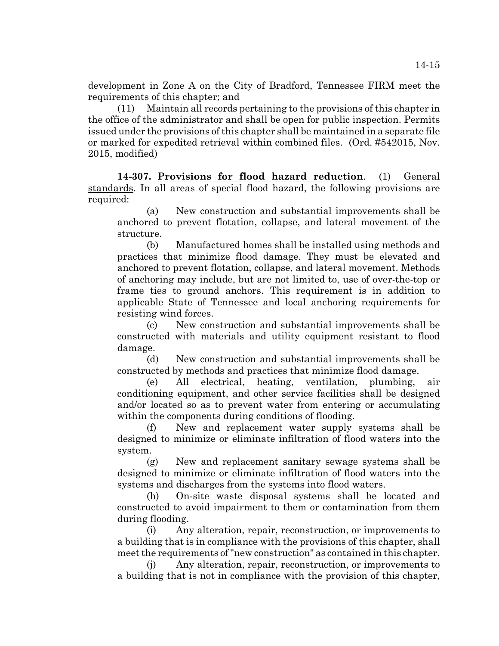development in Zone A on the City of Bradford, Tennessee FIRM meet the requirements of this chapter; and

(11) Maintain all records pertaining to the provisions of this chapter in the office of the administrator and shall be open for public inspection. Permits issued under the provisions of this chapter shall be maintained in a separate file or marked for expedited retrieval within combined files. (Ord. #542015, Nov. 2015, modified)

**14-307. Provisions for flood hazard reduction**. (1) General standards. In all areas of special flood hazard, the following provisions are required:

(a) New construction and substantial improvements shall be anchored to prevent flotation, collapse, and lateral movement of the structure.

(b) Manufactured homes shall be installed using methods and practices that minimize flood damage. They must be elevated and anchored to prevent flotation, collapse, and lateral movement. Methods of anchoring may include, but are not limited to, use of over-the-top or frame ties to ground anchors. This requirement is in addition to applicable State of Tennessee and local anchoring requirements for resisting wind forces.

(c) New construction and substantial improvements shall be constructed with materials and utility equipment resistant to flood damage.

(d) New construction and substantial improvements shall be constructed by methods and practices that minimize flood damage.

(e) All electrical, heating, ventilation, plumbing, air conditioning equipment, and other service facilities shall be designed and/or located so as to prevent water from entering or accumulating within the components during conditions of flooding.

New and replacement water supply systems shall be designed to minimize or eliminate infiltration of flood waters into the system.

(g) New and replacement sanitary sewage systems shall be designed to minimize or eliminate infiltration of flood waters into the systems and discharges from the systems into flood waters.

(h) On-site waste disposal systems shall be located and constructed to avoid impairment to them or contamination from them during flooding.

(i) Any alteration, repair, reconstruction, or improvements to a building that is in compliance with the provisions of this chapter, shall meet the requirements of "new construction" as contained in this chapter.

(j) Any alteration, repair, reconstruction, or improvements to a building that is not in compliance with the provision of this chapter,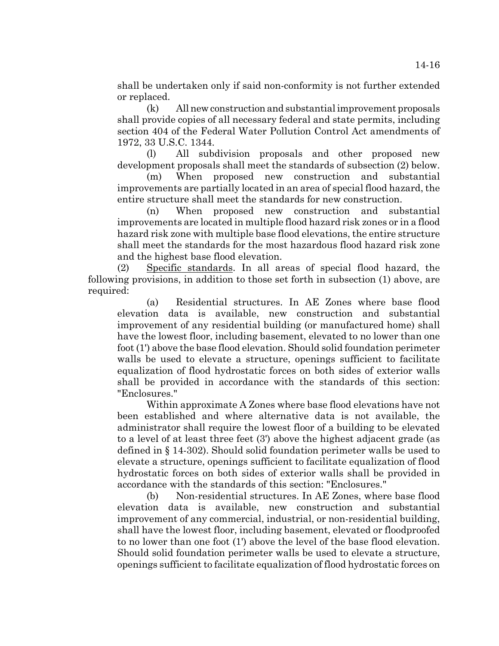shall be undertaken only if said non-conformity is not further extended or replaced.

(k) All new construction and substantial improvement proposals shall provide copies of all necessary federal and state permits, including section 404 of the Federal Water Pollution Control Act amendments of 1972, 33 U.S.C. 1344.

(l) All subdivision proposals and other proposed new development proposals shall meet the standards of subsection (2) below.

(m) When proposed new construction and substantial improvements are partially located in an area of special flood hazard, the entire structure shall meet the standards for new construction.

(n) When proposed new construction and substantial improvements are located in multiple flood hazard risk zones or in a flood hazard risk zone with multiple base flood elevations, the entire structure shall meet the standards for the most hazardous flood hazard risk zone and the highest base flood elevation.

(2) Specific standards. In all areas of special flood hazard, the following provisions, in addition to those set forth in subsection (1) above, are required:

(a) Residential structures. In AE Zones where base flood elevation data is available, new construction and substantial improvement of any residential building (or manufactured home) shall have the lowest floor, including basement, elevated to no lower than one foot (1') above the base flood elevation. Should solid foundation perimeter walls be used to elevate a structure, openings sufficient to facilitate equalization of flood hydrostatic forces on both sides of exterior walls shall be provided in accordance with the standards of this section: "Enclosures."

Within approximate A Zones where base flood elevations have not been established and where alternative data is not available, the administrator shall require the lowest floor of a building to be elevated to a level of at least three feet (3') above the highest adjacent grade (as defined in § 14-302). Should solid foundation perimeter walls be used to elevate a structure, openings sufficient to facilitate equalization of flood hydrostatic forces on both sides of exterior walls shall be provided in accordance with the standards of this section: "Enclosures."

(b) Non-residential structures. In AE Zones, where base flood elevation data is available, new construction and substantial improvement of any commercial, industrial, or non-residential building, shall have the lowest floor, including basement, elevated or floodproofed to no lower than one foot (1') above the level of the base flood elevation. Should solid foundation perimeter walls be used to elevate a structure, openings sufficient to facilitate equalization of flood hydrostatic forces on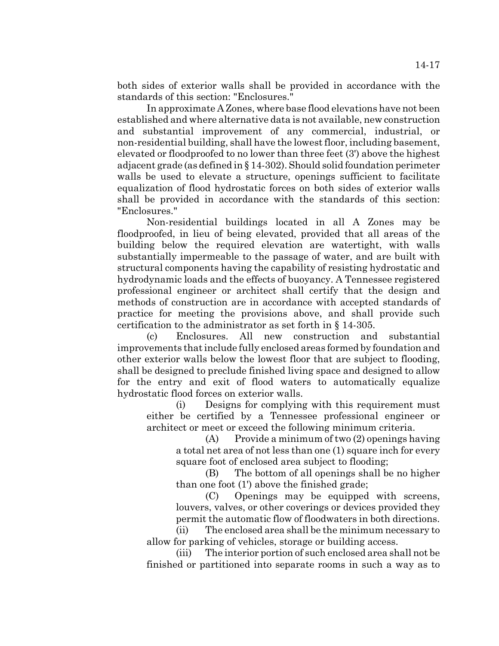both sides of exterior walls shall be provided in accordance with the standards of this section: "Enclosures."

In approximate A Zones, where base flood elevations have not been established and where alternative data is not available, new construction and substantial improvement of any commercial, industrial, or non-residential building, shall have the lowest floor, including basement, elevated or floodproofed to no lower than three feet (3') above the highest adjacent grade (as defined in § 14-302). Should solid foundation perimeter walls be used to elevate a structure, openings sufficient to facilitate equalization of flood hydrostatic forces on both sides of exterior walls shall be provided in accordance with the standards of this section: "Enclosures."

Non-residential buildings located in all A Zones may be floodproofed, in lieu of being elevated, provided that all areas of the building below the required elevation are watertight, with walls substantially impermeable to the passage of water, and are built with structural components having the capability of resisting hydrostatic and hydrodynamic loads and the effects of buoyancy. A Tennessee registered professional engineer or architect shall certify that the design and methods of construction are in accordance with accepted standards of practice for meeting the provisions above, and shall provide such certification to the administrator as set forth in § 14-305.

(c) Enclosures. All new construction and substantial improvements that include fully enclosed areas formed by foundation and other exterior walls below the lowest floor that are subject to flooding, shall be designed to preclude finished living space and designed to allow for the entry and exit of flood waters to automatically equalize hydrostatic flood forces on exterior walls.

(i) Designs for complying with this requirement must either be certified by a Tennessee professional engineer or architect or meet or exceed the following minimum criteria.

(A) Provide a minimum of two (2) openings having a total net area of not less than one (1) square inch for every square foot of enclosed area subject to flooding;

(B) The bottom of all openings shall be no higher than one foot (1') above the finished grade;

(C) Openings may be equipped with screens, louvers, valves, or other coverings or devices provided they permit the automatic flow of floodwaters in both directions.

(ii) The enclosed area shall be the minimum necessary to allow for parking of vehicles, storage or building access.

(iii) The interior portion of such enclosed area shall not be finished or partitioned into separate rooms in such a way as to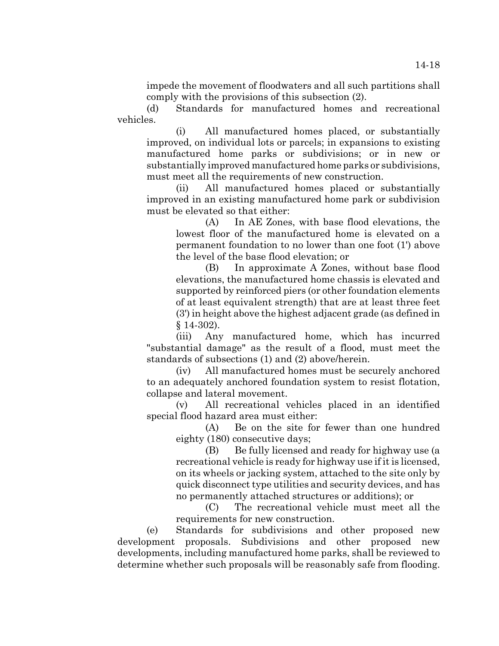impede the movement of floodwaters and all such partitions shall comply with the provisions of this subsection (2).

(d) Standards for manufactured homes and recreational vehicles.

(i) All manufactured homes placed, or substantially improved, on individual lots or parcels; in expansions to existing manufactured home parks or subdivisions; or in new or substantially improved manufactured home parks or subdivisions, must meet all the requirements of new construction.

(ii) All manufactured homes placed or substantially improved in an existing manufactured home park or subdivision must be elevated so that either:

(A) In AE Zones, with base flood elevations, the lowest floor of the manufactured home is elevated on a permanent foundation to no lower than one foot (1') above the level of the base flood elevation; or

(B) In approximate A Zones, without base flood elevations, the manufactured home chassis is elevated and supported by reinforced piers (or other foundation elements of at least equivalent strength) that are at least three feet (3') in height above the highest adjacent grade (as defined in § 14-302).

(iii) Any manufactured home, which has incurred "substantial damage" as the result of a flood, must meet the standards of subsections (1) and (2) above/herein.

(iv) All manufactured homes must be securely anchored to an adequately anchored foundation system to resist flotation, collapse and lateral movement.

(v) All recreational vehicles placed in an identified special flood hazard area must either:

(A) Be on the site for fewer than one hundred eighty (180) consecutive days;

(B) Be fully licensed and ready for highway use (a recreational vehicle is ready for highway use if it is licensed, on its wheels or jacking system, attached to the site only by quick disconnect type utilities and security devices, and has no permanently attached structures or additions); or

(C) The recreational vehicle must meet all the requirements for new construction.

(e) Standards for subdivisions and other proposed new development proposals. Subdivisions and other proposed new developments, including manufactured home parks, shall be reviewed to determine whether such proposals will be reasonably safe from flooding.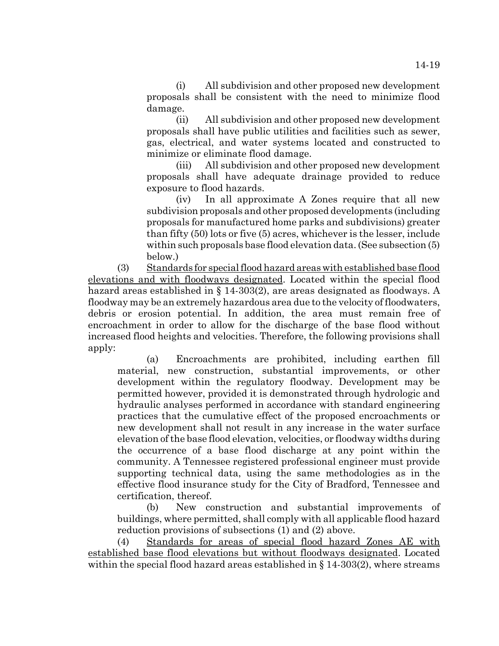(i) All subdivision and other proposed new development proposals shall be consistent with the need to minimize flood damage.

(ii) All subdivision and other proposed new development proposals shall have public utilities and facilities such as sewer, gas, electrical, and water systems located and constructed to minimize or eliminate flood damage.

(iii) All subdivision and other proposed new development proposals shall have adequate drainage provided to reduce exposure to flood hazards.

(iv) In all approximate A Zones require that all new subdivision proposals and other proposed developments (including proposals for manufactured home parks and subdivisions) greater than fifty (50) lots or five (5) acres, whichever is the lesser, include within such proposals base flood elevation data. (See subsection  $(5)$ ) below.)

(3) Standards for special flood hazard areas with established base flood elevations and with floodways designated. Located within the special flood hazard areas established in § 14-303(2), are areas designated as floodways. A floodway may be an extremely hazardous area due to the velocity of floodwaters, debris or erosion potential. In addition, the area must remain free of encroachment in order to allow for the discharge of the base flood without increased flood heights and velocities. Therefore, the following provisions shall apply:

(a) Encroachments are prohibited, including earthen fill material, new construction, substantial improvements, or other development within the regulatory floodway. Development may be permitted however, provided it is demonstrated through hydrologic and hydraulic analyses performed in accordance with standard engineering practices that the cumulative effect of the proposed encroachments or new development shall not result in any increase in the water surface elevation of the base flood elevation, velocities, or floodway widths during the occurrence of a base flood discharge at any point within the community. A Tennessee registered professional engineer must provide supporting technical data, using the same methodologies as in the effective flood insurance study for the City of Bradford, Tennessee and certification, thereof.

(b) New construction and substantial improvements of buildings, where permitted, shall comply with all applicable flood hazard reduction provisions of subsections (1) and (2) above.

(4) Standards for areas of special flood hazard Zones AE with established base flood elevations but without floodways designated. Located within the special flood hazard areas established in  $\S 14-303(2)$ , where streams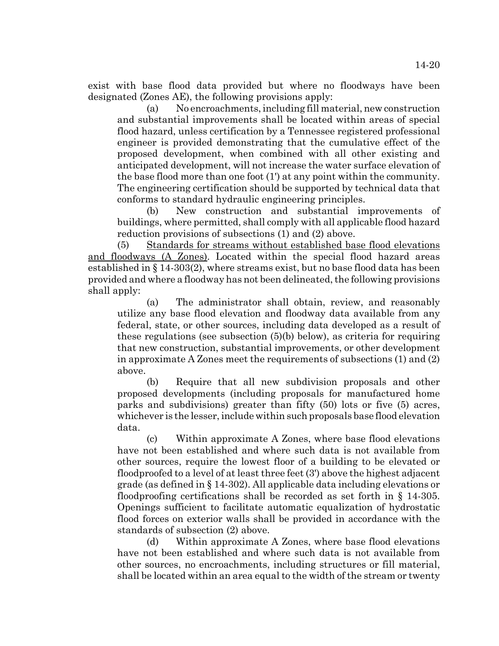exist with base flood data provided but where no floodways have been designated (Zones AE), the following provisions apply:

(a) No encroachments, including fill material, new construction and substantial improvements shall be located within areas of special flood hazard, unless certification by a Tennessee registered professional engineer is provided demonstrating that the cumulative effect of the proposed development, when combined with all other existing and anticipated development, will not increase the water surface elevation of the base flood more than one foot (1') at any point within the community. The engineering certification should be supported by technical data that conforms to standard hydraulic engineering principles.

(b) New construction and substantial improvements of buildings, where permitted, shall comply with all applicable flood hazard reduction provisions of subsections (1) and (2) above.

(5) Standards for streams without established base flood elevations and floodways (A Zones). Located within the special flood hazard areas established in § 14-303(2), where streams exist, but no base flood data has been provided and where a floodway has not been delineated, the following provisions shall apply:

(a) The administrator shall obtain, review, and reasonably utilize any base flood elevation and floodway data available from any federal, state, or other sources, including data developed as a result of these regulations (see subsection (5)(b) below), as criteria for requiring that new construction, substantial improvements, or other development in approximate A Zones meet the requirements of subsections (1) and (2) above.

(b) Require that all new subdivision proposals and other proposed developments (including proposals for manufactured home parks and subdivisions) greater than fifty (50) lots or five (5) acres, whichever is the lesser, include within such proposals base flood elevation data.

(c) Within approximate A Zones, where base flood elevations have not been established and where such data is not available from other sources, require the lowest floor of a building to be elevated or floodproofed to a level of at least three feet (3') above the highest adjacent grade (as defined in § 14-302). All applicable data including elevations or floodproofing certifications shall be recorded as set forth in § 14-305. Openings sufficient to facilitate automatic equalization of hydrostatic flood forces on exterior walls shall be provided in accordance with the standards of subsection (2) above.

(d) Within approximate A Zones, where base flood elevations have not been established and where such data is not available from other sources, no encroachments, including structures or fill material, shall be located within an area equal to the width of the stream or twenty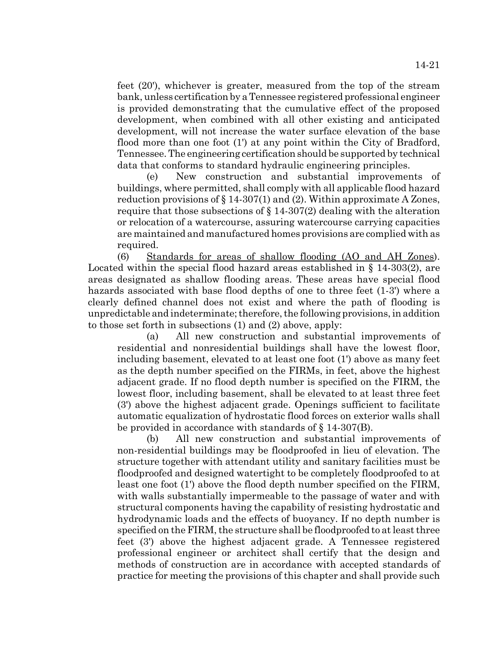feet (20'), whichever is greater, measured from the top of the stream bank, unless certification by a Tennessee registered professional engineer is provided demonstrating that the cumulative effect of the proposed development, when combined with all other existing and anticipated development, will not increase the water surface elevation of the base flood more than one foot (1') at any point within the City of Bradford, Tennessee. The engineering certification should be supported by technical data that conforms to standard hydraulic engineering principles.

(e) New construction and substantial improvements of buildings, where permitted, shall comply with all applicable flood hazard reduction provisions of  $\S 14{\text -}307(1)$  and (2). Within approximate A Zones, require that those subsections of  $\S 14-307(2)$  dealing with the alteration or relocation of a watercourse, assuring watercourse carrying capacities are maintained and manufactured homes provisions are complied with as required.

(6) Standards for areas of shallow flooding (AO and AH Zones). Located within the special flood hazard areas established in § 14-303(2), are areas designated as shallow flooding areas. These areas have special flood hazards associated with base flood depths of one to three feet (1-3') where a clearly defined channel does not exist and where the path of flooding is unpredictable and indeterminate; therefore, the following provisions, in addition to those set forth in subsections (1) and (2) above, apply:

(a) All new construction and substantial improvements of residential and nonresidential buildings shall have the lowest floor, including basement, elevated to at least one foot (1') above as many feet as the depth number specified on the FIRMs, in feet, above the highest adjacent grade. If no flood depth number is specified on the FIRM, the lowest floor, including basement, shall be elevated to at least three feet (3') above the highest adjacent grade. Openings sufficient to facilitate automatic equalization of hydrostatic flood forces on exterior walls shall be provided in accordance with standards of § 14-307(B).

(b) All new construction and substantial improvements of non-residential buildings may be floodproofed in lieu of elevation. The structure together with attendant utility and sanitary facilities must be floodproofed and designed watertight to be completely floodproofed to at least one foot (1') above the flood depth number specified on the FIRM, with walls substantially impermeable to the passage of water and with structural components having the capability of resisting hydrostatic and hydrodynamic loads and the effects of buoyancy. If no depth number is specified on the FIRM, the structure shall be floodproofed to at least three feet (3') above the highest adjacent grade. A Tennessee registered professional engineer or architect shall certify that the design and methods of construction are in accordance with accepted standards of practice for meeting the provisions of this chapter and shall provide such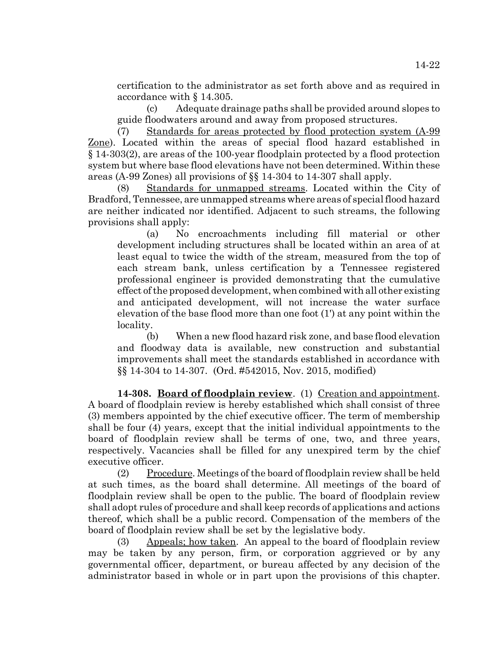certification to the administrator as set forth above and as required in accordance with § 14.305.

(c) Adequate drainage paths shall be provided around slopes to guide floodwaters around and away from proposed structures.

(7) Standards for areas protected by flood protection system (A-99 Zone). Located within the areas of special flood hazard established in § 14-303(2), are areas of the 100-year floodplain protected by a flood protection system but where base flood elevations have not been determined. Within these areas (A-99 Zones) all provisions of §§ 14-304 to 14-307 shall apply.

(8) Standards for unmapped streams. Located within the City of Bradford, Tennessee, are unmapped streams where areas of special flood hazard are neither indicated nor identified. Adjacent to such streams, the following provisions shall apply:

(a) No encroachments including fill material or other development including structures shall be located within an area of at least equal to twice the width of the stream, measured from the top of each stream bank, unless certification by a Tennessee registered professional engineer is provided demonstrating that the cumulative effect of the proposed development, when combined with all other existing and anticipated development, will not increase the water surface elevation of the base flood more than one foot (1') at any point within the locality.

(b) When a new flood hazard risk zone, and base flood elevation and floodway data is available, new construction and substantial improvements shall meet the standards established in accordance with §§ 14-304 to 14-307. (Ord. #542015, Nov. 2015, modified)

**14-308. Board of floodplain review**. (1) Creation and appointment. A board of floodplain review is hereby established which shall consist of three (3) members appointed by the chief executive officer. The term of membership shall be four (4) years, except that the initial individual appointments to the board of floodplain review shall be terms of one, two, and three years, respectively. Vacancies shall be filled for any unexpired term by the chief executive officer.

(2) Procedure. Meetings of the board of floodplain review shall be held at such times, as the board shall determine. All meetings of the board of floodplain review shall be open to the public. The board of floodplain review shall adopt rules of procedure and shall keep records of applications and actions thereof, which shall be a public record. Compensation of the members of the board of floodplain review shall be set by the legislative body.

 $(3)$  Appeals; how taken. An appeal to the board of floodplain review may be taken by any person, firm, or corporation aggrieved or by any governmental officer, department, or bureau affected by any decision of the administrator based in whole or in part upon the provisions of this chapter.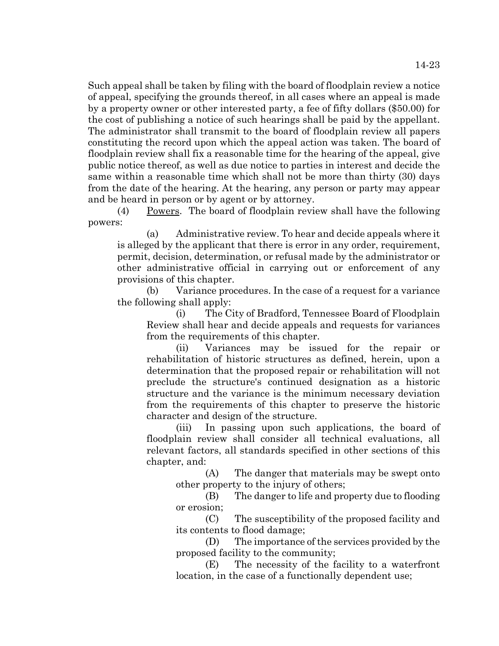Such appeal shall be taken by filing with the board of floodplain review a notice of appeal, specifying the grounds thereof, in all cases where an appeal is made by a property owner or other interested party, a fee of fifty dollars (\$50.00) for the cost of publishing a notice of such hearings shall be paid by the appellant. The administrator shall transmit to the board of floodplain review all papers constituting the record upon which the appeal action was taken. The board of floodplain review shall fix a reasonable time for the hearing of the appeal, give public notice thereof, as well as due notice to parties in interest and decide the same within a reasonable time which shall not be more than thirty (30) days from the date of the hearing. At the hearing, any person or party may appear and be heard in person or by agent or by attorney.

(4) Powers. The board of floodplain review shall have the following powers:

(a) Administrative review. To hear and decide appeals where it is alleged by the applicant that there is error in any order, requirement, permit, decision, determination, or refusal made by the administrator or other administrative official in carrying out or enforcement of any provisions of this chapter.

(b) Variance procedures. In the case of a request for a variance the following shall apply:

(i) The City of Bradford, Tennessee Board of Floodplain Review shall hear and decide appeals and requests for variances from the requirements of this chapter.

(ii) Variances may be issued for the repair or rehabilitation of historic structures as defined, herein, upon a determination that the proposed repair or rehabilitation will not preclude the structure's continued designation as a historic structure and the variance is the minimum necessary deviation from the requirements of this chapter to preserve the historic character and design of the structure.

(iii) In passing upon such applications, the board of floodplain review shall consider all technical evaluations, all relevant factors, all standards specified in other sections of this chapter, and:

(A) The danger that materials may be swept onto other property to the injury of others;

(B) The danger to life and property due to flooding or erosion;

(C) The susceptibility of the proposed facility and its contents to flood damage;

(D) The importance of the services provided by the proposed facility to the community;

(E) The necessity of the facility to a waterfront location, in the case of a functionally dependent use;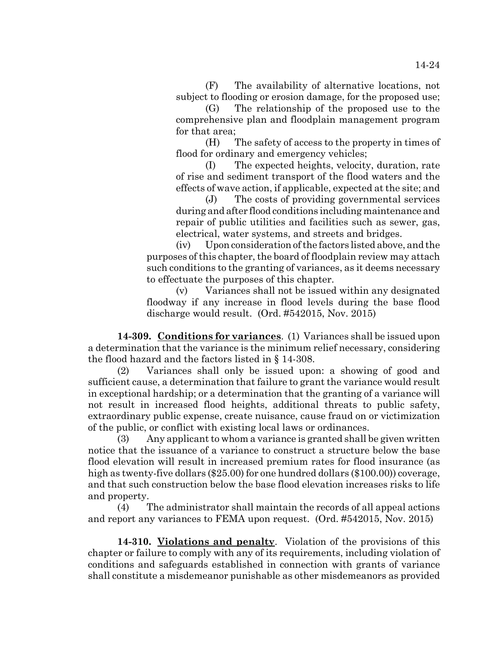(F) The availability of alternative locations, not subject to flooding or erosion damage, for the proposed use;

(G) The relationship of the proposed use to the comprehensive plan and floodplain management program for that area;

(H) The safety of access to the property in times of flood for ordinary and emergency vehicles;

(I) The expected heights, velocity, duration, rate of rise and sediment transport of the flood waters and the effects of wave action, if applicable, expected at the site; and

(J) The costs of providing governmental services during and after flood conditions including maintenance and repair of public utilities and facilities such as sewer, gas, electrical, water systems, and streets and bridges.

(iv) Upon consideration of the factors listed above, and the purposes of this chapter, the board of floodplain review may attach such conditions to the granting of variances, as it deems necessary to effectuate the purposes of this chapter.

(v) Variances shall not be issued within any designated floodway if any increase in flood levels during the base flood discharge would result. (Ord. #542015, Nov. 2015)

**14-309. Conditions for variances**. (1) Variances shall be issued upon a determination that the variance is the minimum relief necessary, considering the flood hazard and the factors listed in § 14-308.

(2) Variances shall only be issued upon: a showing of good and sufficient cause, a determination that failure to grant the variance would result in exceptional hardship; or a determination that the granting of a variance will not result in increased flood heights, additional threats to public safety, extraordinary public expense, create nuisance, cause fraud on or victimization of the public, or conflict with existing local laws or ordinances.

(3) Any applicant to whom a variance is granted shall be given written notice that the issuance of a variance to construct a structure below the base flood elevation will result in increased premium rates for flood insurance (as high as twenty-five dollars (\$25.00) for one hundred dollars (\$100.00)) coverage, and that such construction below the base flood elevation increases risks to life and property.

(4) The administrator shall maintain the records of all appeal actions and report any variances to FEMA upon request. (Ord. #542015, Nov. 2015)

**14-310. Violations and penalty**. Violation of the provisions of this chapter or failure to comply with any of its requirements, including violation of conditions and safeguards established in connection with grants of variance shall constitute a misdemeanor punishable as other misdemeanors as provided